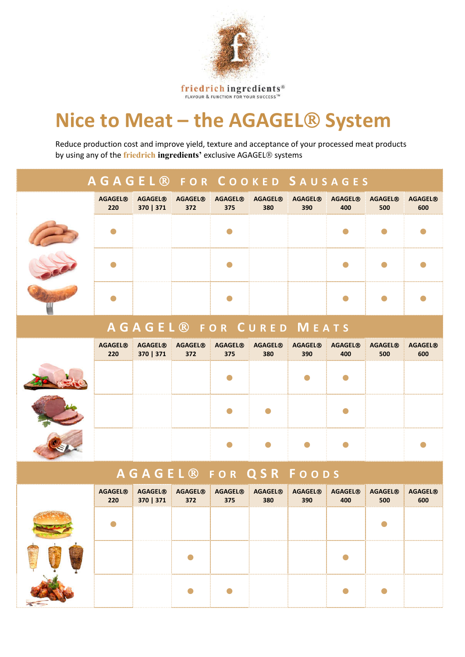

friedrich ingredients®

## **Nice to Meat – the AGAGEL® System**

Reduce production cost and improve yield, texture and acceptance of your processed meat products by using any of the **friedrich ingredients'** exclusive AGAGEL<sup>®</sup> systems

|                       |                             |                                  | <b>AGAGEL ® FOR COOKED SAUSAGES</b> |                       |                       |                                  |                       |                                  |
|-----------------------|-----------------------------|----------------------------------|-------------------------------------|-----------------------|-----------------------|----------------------------------|-----------------------|----------------------------------|
| <b>AGAGEL®</b><br>220 | <b>AGAGEL®</b><br>370   371 | <b>AGAGEL<sup>®</sup></b><br>372 | <b>AGAGEL<sup>®</sup></b><br>375    | <b>AGAGEL®</b><br>380 | <b>AGAGEL®</b><br>390 | <b>AGAGEL®</b><br>400            | <b>AGAGEL®</b><br>500 | <b>AGAGEL®</b><br>600            |
|                       |                             |                                  |                                     |                       |                       |                                  |                       |                                  |
|                       |                             |                                  |                                     |                       |                       |                                  |                       |                                  |
|                       |                             |                                  |                                     |                       |                       |                                  |                       |                                  |
|                       |                             |                                  | <b>AGAGEL® FOR CURED MEATS</b>      |                       |                       |                                  |                       |                                  |
| <b>AGAGEL®</b><br>220 | <b>AGAGEL®</b><br>370   371 | <b>AGAGEL®</b><br>372            | <b>AGAGEL®</b><br>375               | <b>AGAGEL®</b><br>380 | <b>AGAGEL®</b><br>390 | <b>AGAGEL®</b><br>400            | <b>AGAGEL®</b><br>500 | <b>AGAGEL®</b><br>600            |
|                       |                             |                                  |                                     |                       |                       |                                  |                       |                                  |
|                       |                             |                                  |                                     |                       |                       |                                  |                       |                                  |
|                       |                             |                                  |                                     |                       | O                     |                                  |                       |                                  |
|                       |                             |                                  | <b>AGAGEL® FOR QSR FOODS</b>        |                       |                       |                                  |                       |                                  |
| <b>AGAGEL®</b><br>220 | <b>AGAGEL®</b><br>370   371 | <b>AGAGEL®</b><br>372            | <b>AGAGEL®</b><br>375               | <b>AGAGEL®</b><br>380 | <b>AGAGEL®</b><br>390 | <b>AGAGEL<sup>®</sup></b><br>400 | <b>AGAGEL®</b><br>500 | <b>AGAGEL<sup>®</sup></b><br>600 |
|                       |                             |                                  |                                     |                       |                       |                                  |                       |                                  |
|                       |                             |                                  |                                     |                       |                       |                                  |                       |                                  |
|                       |                             |                                  |                                     |                       |                       |                                  |                       |                                  |